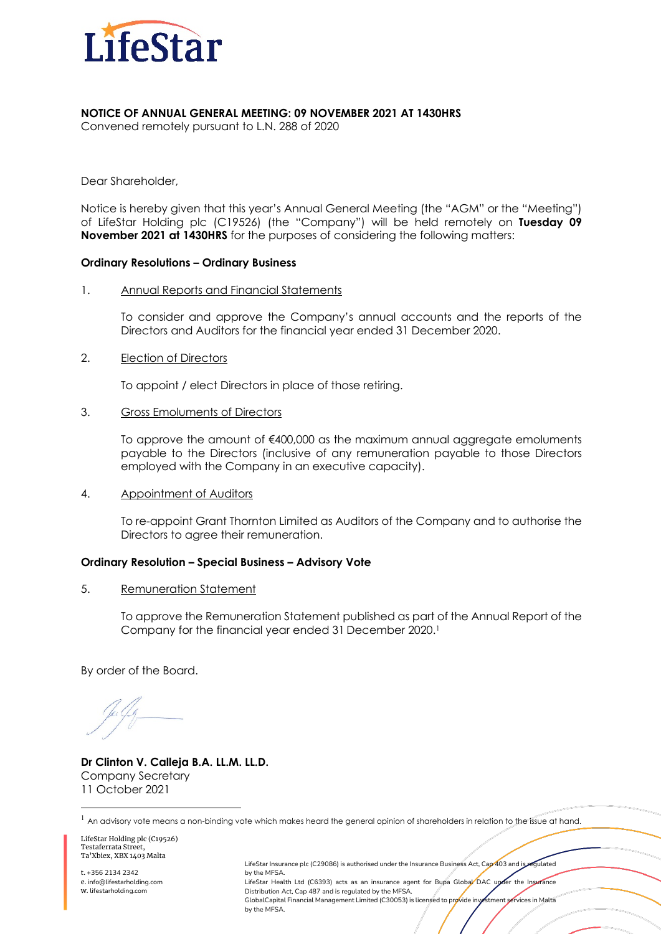

## **NOTICE OF ANNUAL GENERAL MEETING: 09 NOVEMBER 2021 AT 1430HRS**

Convened remotely pursuant to L.N. 288 of 2020

Dear Shareholder,

Notice is hereby given that this year's Annual General Meeting (the "AGM" or the "Meeting") of LifeStar Holding plc (C19526) (the "Company") will be held remotely on **Tuesday 09 November 2021 at 1430HRS** for the purposes of considering the following matters:

### **Ordinary Resolutions – Ordinary Business**

1. Annual Reports and Financial Statements

To consider and approve the Company's annual accounts and the reports of the Directors and Auditors for the financial year ended 31 December 2020.

2. Election of Directors

To appoint / elect Directors in place of those retiring.

3. Gross Emoluments of Directors

To approve the amount of €400,000 as the maximum annual aggregate emoluments payable to the Directors (inclusive of any remuneration payable to those Directors employed with the Company in an executive capacity).

4. Appointment of Auditors

To re-appoint Grant Thornton Limited as Auditors of the Company and to authorise the Directors to agree their remuneration.

### **Ordinary Resolution – Special Business – Advisory Vote**

5. Remuneration Statement

To approve the Remuneration Statement published as part of the Annual Report of the Company for the financial year ended 31 December 2020.1

By order of the Board.

**Dr Clinton V. Calleja B.A. LL.M. LL.D.** Company Secretary 11 October 2021

 $1$  An advisory vote means a non-binding vote which makes heard the general opinion of shareholders in relation to the issue at hand.

LifeStar Holding plc (C19526) Testaferrata Street, Ta'Xbiex, XBX 1403 Malta

t. +356 2134 2342 e. info@lifestarholding.com w. lifestarholding.com

LifeStar Insurance plc (C29086) is authorised under the Insurance Business Act, Cap 403 and is regulated by the MFSA. LifeStar Health Ltd (C6393) acts as an insurance agent for Bupa Global DAC upder the Insurance Distribution Act, Cap 487 and is regulated by the MFSA. GlobalCapital Financial Management Limited (C30053) is licensed to provide investment services in Malta by the MFSA.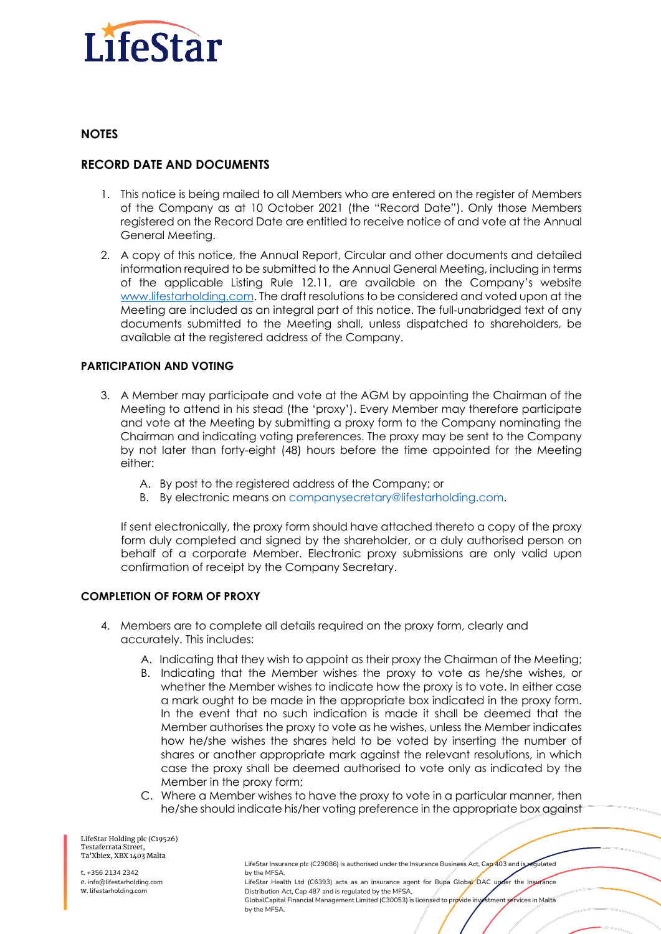

### **NOTES**

# **RECORD DATE AND DOCUMENTS**

- 1. This notice is being mailed to all Members who are entered on the register of Members of the Company as at 10 October 2021 (the "Record Date"). Only those Members registered on the Record Date are entitled to receive notice of and vote at the Annual General Meeting.
- 2. A copy of this notice, the Annual Report, Circular and other documents and detailed information required to be submitted to the Annual General Meeting, including in terms of the applicable Listing Rule 12.11, are available on the Company's website www.lifestarholding.com. The draft resolutions to be considered and voted upon at the Meeting are included as an integral part of this notice. The full-unabridged text of any documents submitted to the Meeting shall, unless dispatched to shareholders, be available at the registered address of the Company.

# **PARTICIPATION AND VOTING**

- 3. A Member may participate and vote at the AGM by appointing the Chairman of the Meeting to attend in his stead (the 'proxy'). Every Member may therefore participate and vote at the Meeting by submitting a proxy form to the Company nominating the Chairman and indicating voting preferences. The proxy may be sent to the Company by not later than forty-eight (48) hours before the time appointed for the Meeting either:
	- A. By post to the registered address of the Company; or
	- B. By electronic means on companysecretary@lifestarholding.com.

If sent electronically, the proxy form should have attached thereto a copy of the proxy form duly completed and signed by the shareholder, or a duly authorised person on behalf of a corporate Member. Electronic proxy submissions are only valid upon confirmation of receipt by the Company Secretary.

# **COMPLETION OF FORM OF PROXY**

- 4. Members are to complete all details required on the proxy form, clearly and accurately. This includes:
	- A. Indicating that they wish to appoint as their proxy the Chairman of the Meeting;
	- B. Indicating that the Member wishes the proxy to vote as he/she wishes, or whether the Member wishes to indicate how the proxy is to vote. In either case a mark ought to be made in the appropriate box indicated in the proxy form. In the event that no such indication is made it shall be deemed that the Member authorises the proxy to vote as he wishes, unless the Member indicates how he/she wishes the shares held to be voted by inserting the number of shares or another appropriate mark against the relevant resolutions, in which case the proxy shall be deemed authorised to vote only as indicated by the Member in the proxy form;
	- C. Where a Member wishes to have the proxy to vote in a particular manner, then he/she should indicate his/her voting preference in the appropriate box against

LifeStar Holding plc (C19526) Testaferrata Street, Ta'Xbiex, XBX 1403 Malta

t. +356 2134 2342 e. info@lifestarholding.com w. lifestarholding.com

LifeStar Insurance plc (C29086) is authorised under the Insurance Business Act, Cap 403 and is regulated by the MFSA. LifeStar Health Ltd (C6393) acts as an insurance agent for Bupa Global DAC under the Insurance Distribution Act, Cap 487 and is regulated by the MFSA. GlobalCapital Financial Management Limited (C30053) is licensed to provide investment services in Malta by the MFSA.